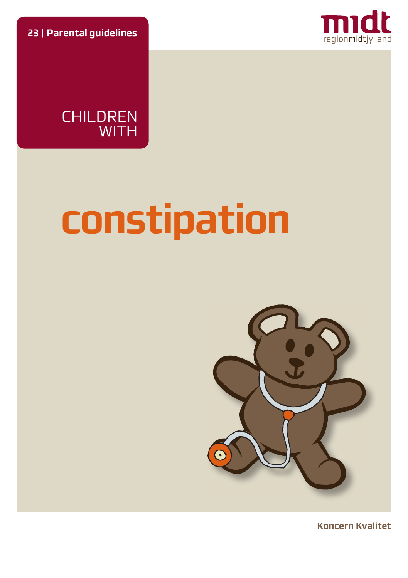**23** | **Parental guidelines**



CHILDREN WITH

# **constipation**



**Koncern Kvalitet**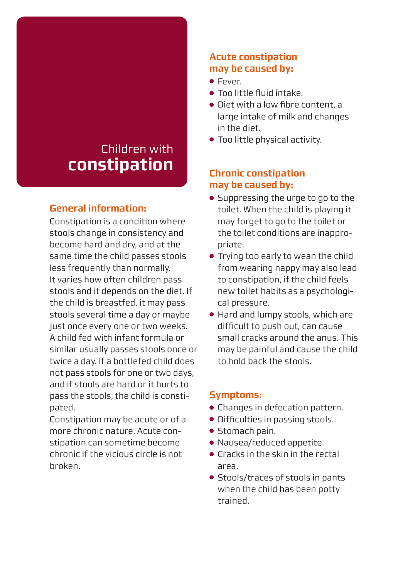# Children with **constipation**

# **General information:**

Constipation is a condition where stools change in consistency and become hard and dry, and at the same time the child passes stools less frequently than normally. It varies how often children pass stools and it depends on the diet. If the child is breastfed, it may pass stools several time a day or maybe just once every one or two weeks. A child fed with infant formula or similar usually passes stools once or twice a day. If a bottlefed child does not pass stools for one or two days, and if stools are hard or it hurts to pass the stools, the child is constipated.

Constipation may be acute or of a more chronic nature. Acute constipation can sometime become chronic if the vicious circle is not broken.

#### **Acute constipation may be caused by:**

- Fever.
- Too little fluid intake.
- Diet with a low fibre content, a large intake of milk and changes in the diet.
- Too little physical activity.

# **Chronic constipation may be caused by:**

- Suppressing the urge to go to the toilet. When the child is playing it may forget to go to the toilet or the toilet conditions are inappropriate.
- Trying too early to wean the child from wearing nappy may also lead to constipation, if the child feels new toilet habits as a psychological pressure.
- Hard and lumpy stools, which are difficult to push out, can cause small cracks around the anus. This may be painful and cause the child to hold back the stools.

# **Symptoms:**

- Changes in defecation pattern.
- Difficulties in passing stools.
- Stomach pain.
- Nausea/reduced appetite.
- Cracks in the skin in the rectal area.
- Stools/traces of stools in pants when the child has been potty trained.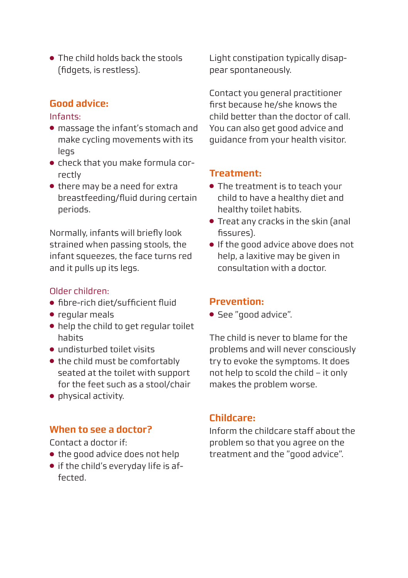● The child holds hack the stools (fidgets, is restless).

# **Good advice:**

#### Infants:

- massage the infant's stomach and make cycling movements with its legs
- check that you make formula correctly
- there may be a need for extra breastfeeding/fluid during certain periods.

Normally, infants will briefly look strained when passing stools, the infant squeezes, the face turns red and it pulls up its legs.

#### Older children:

- fibre-rich diet/sufficient fluid
- regular meals
- help the child to get regular toilet habits
- undisturbed toilet visits
- the child must be comfortably seated at the toilet with support for the feet such as a stool/chair
- physical activity.

# **When to see a doctor?**

Contact a doctor if:

- the good advice does not help
- if the child's everyday life is affected.

Light constipation typically disappear spontaneously.

Contact you general practitioner first because he/she knows the child better than the doctor of call. You can also get good advice and guidance from your health visitor.

# **Treatment:**

- The treatment is to teach your child to have a healthy diet and healthy toilet habits.
- Treat any cracks in the skin (anal fissures).
- If the good advice above does not help, a laxitive may be given in consultation with a doctor.

#### **Prevention:**

● See "good advice".

The child is never to blame for the problems and will never consciously try to evoke the symptoms. It does not help to scold the child – it only makes the problem worse.

# **Childcare:**

Inform the childcare staff about the problem so that you agree on the treatment and the "good advice".